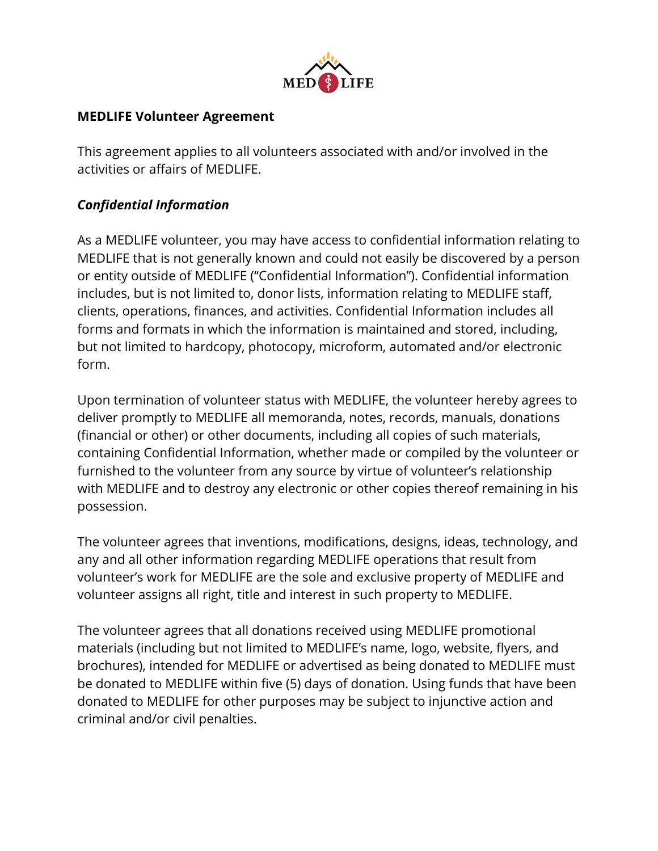

### **MEDLIFE Volunteer Agreement**

This agreement applies to all volunteers associated with and/or involved in the activities or affairs of MEDLIFE.

### *Confidential Information*

As a MEDLIFE volunteer, you may have access to confidential information relating to MEDLIFE that is not generally known and could not easily be discovered by a person or entity outside of MEDLIFE ("Confidential Information"). Confidential information includes, but is not limited to, donor lists, information relating to MEDLIFE staff, clients, operations, finances, and activities. Confidential Information includes all forms and formats in which the information is maintained and stored, including, but not limited to hardcopy, photocopy, microform, automated and/or electronic form.

Upon termination of volunteer status with MEDLIFE, the volunteer hereby agrees to deliver promptly to MEDLIFE all memoranda, notes, records, manuals, donations (financial or other) or other documents, including all copies of such materials, containing Confidential Information, whether made or compiled by the volunteer or furnished to the volunteer from any source by virtue of volunteer's relationship with MEDLIFE and to destroy any electronic or other copies thereof remaining in his possession.

The volunteer agrees that inventions, modifications, designs, ideas, technology, and any and all other information regarding MEDLIFE operations that result from volunteer's work for MEDLIFE are the sole and exclusive property of MEDLIFE and volunteer assigns all right, title and interest in such property to MEDLIFE.

The volunteer agrees that all donations received using MEDLIFE promotional materials (including but not limited to MEDLIFE's name, logo, website, flyers, and brochures), intended for MEDLIFE or advertised as being donated to MEDLIFE must be donated to MEDLIFE within five (5) days of donation. Using funds that have been donated to MEDLIFE for other purposes may be subject to injunctive action and criminal and/or civil penalties.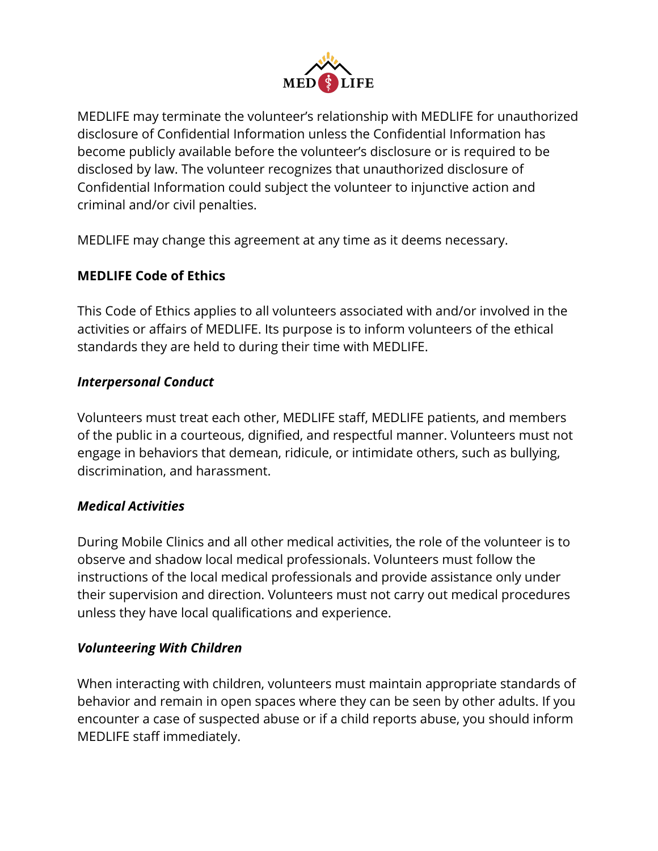

MEDLIFE may terminate the volunteer's relationship with MEDLIFE for unauthorized disclosure of Confidential Information unless the Confidential Information has become publicly available before the volunteer's disclosure or is required to be disclosed by law. The volunteer recognizes that unauthorized disclosure of Confidential Information could subject the volunteer to injunctive action and criminal and/or civil penalties.

MEDLIFE may change this agreement at any time as it deems necessary.

## **MEDLIFE Code of Ethics**

This Code of Ethics applies to all volunteers associated with and/or involved in the activities or affairs of MEDLIFE. Its purpose is to inform volunteers of the ethical standards they are held to during their time with MEDLIFE.

#### *Interpersonal Conduct*

Volunteers must treat each other, MEDLIFE staff, MEDLIFE patients, and members of the public in a courteous, dignified, and respectful manner. Volunteers must not engage in behaviors that demean, ridicule, or intimidate others, such as bullying, discrimination, and harassment.

#### *Medical Activities*

During Mobile Clinics and all other medical activities, the role of the volunteer is to observe and shadow local medical professionals. Volunteers must follow the instructions of the local medical professionals and provide assistance only under their supervision and direction. Volunteers must not carry out medical procedures unless they have local qualifications and experience.

#### *Volunteering With Children*

When interacting with children, volunteers must maintain appropriate standards of behavior and remain in open spaces where they can be seen by other adults. If you encounter a case of suspected abuse or if a child reports abuse, you should inform MEDLIFE staff immediately.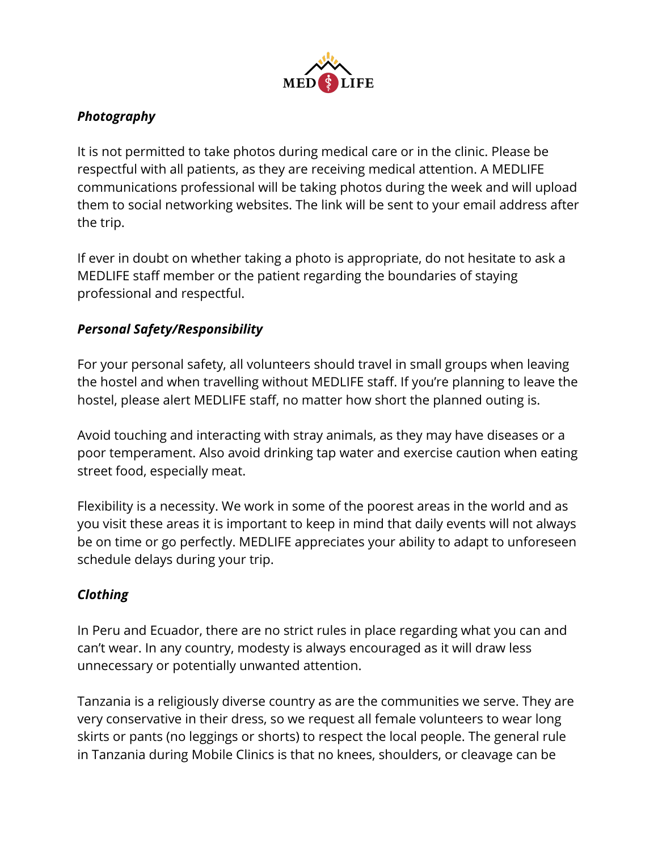

# *Photography*

It is not permitted to take photos during medical care or in the clinic. Please be respectful with all patients, as they are receiving medical attention. A MEDLIFE communications professional will be taking photos during the week and will upload them to social networking websites. The link will be sent to your email address after the trip.

If ever in doubt on whether taking a photo is appropriate, do not hesitate to ask a MEDLIFE staff member or the patient regarding the boundaries of staying professional and respectful.

# *Personal Safety/Responsibility*

For your personal safety, all volunteers should travel in small groups when leaving the hostel and when travelling without MEDLIFE staff. If you're planning to leave the hostel, please alert MEDLIFE staff, no matter how short the planned outing is.

Avoid touching and interacting with stray animals, as they may have diseases or a poor temperament. Also avoid drinking tap water and exercise caution when eating street food, especially meat.

Flexibility is a necessity. We work in some of the poorest areas in the world and as you visit these areas it is important to keep in mind that daily events will not always be on time or go perfectly. MEDLIFE appreciates your ability to adapt to unforeseen schedule delays during your trip.

## *Clothing*

In Peru and Ecuador, there are no strict rules in place regarding what you can and can't wear. In any country, modesty is always encouraged as it will draw less unnecessary or potentially unwanted attention.

Tanzania is a religiously diverse country as are the communities we serve. They are very conservative in their dress, so we request all female volunteers to wear long skirts or pants (no leggings or shorts) to respect the local people. The general rule in Tanzania during Mobile Clinics is that no knees, shoulders, or cleavage can be